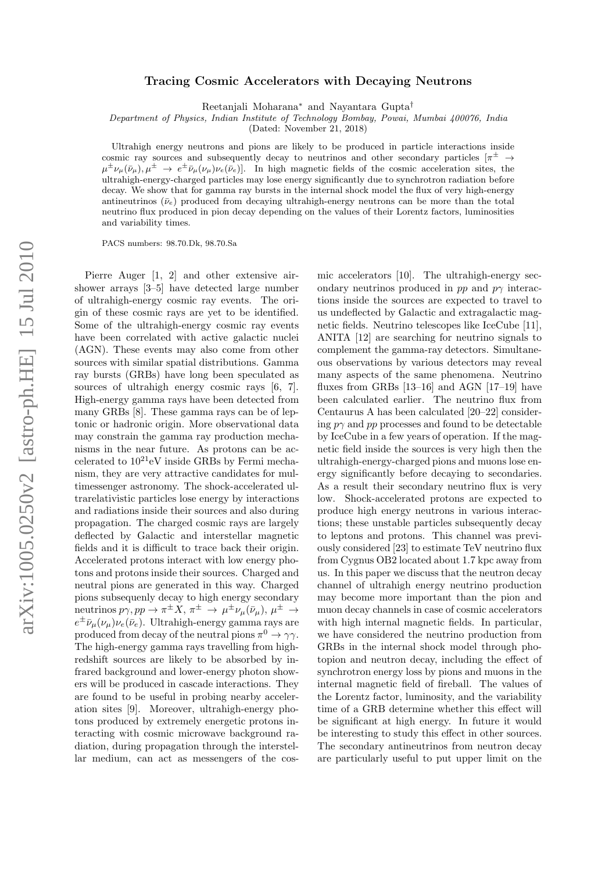## Tracing Cosmic Accelerators with Decaying Neutrons

Reetanjali Moharana<sup>∗</sup> and Nayantara Gupta†

Department of Physics, Indian Institute of Technology Bombay, Powai, Mumbai 400076, India

(Dated: November 21, 2018)

Ultrahigh energy neutrons and pions are likely to be produced in particle interactions inside cosmic ray sources and subsequently decay to neutrinos and other secondary particles  $\pi^{\pm} \rightarrow$  $\mu^{\pm} \nu_{\mu}(\bar{\nu}_{\mu}), \mu^{\pm} \rightarrow e^{\pm} \bar{\nu}_{\mu}(\nu_{\mu}) \nu_{e}(\bar{\nu}_{e})$ . In high magnetic fields of the cosmic acceleration sites, the ultrahigh-energy-charged particles may lose energy significantly due to synchrotron radiation before decay. We show that for gamma ray bursts in the internal shock model the flux of very high-energy antineutrinos  $(\bar{\nu}_e)$  produced from decaying ultrahigh-energy neutrons can be more than the total neutrino flux produced in pion decay depending on the values of their Lorentz factors, luminosities and variability times.

PACS numbers: 98.70.Dk, 98.70.Sa

Pierre Auger [1, 2] and other extensive airshower arrays [3–5] have detected large number of ultrahigh-energy cosmic ray events. The origin of these cosmic rays are yet to be identified. Some of the ultrahigh-energy cosmic ray events have been correlated with active galactic nuclei (AGN). These events may also come from other sources with similar spatial distributions. Gamma ray bursts (GRBs) have long been speculated as sources of ultrahigh energy cosmic rays [6, 7]. High-energy gamma rays have been detected from many GRBs [8]. These gamma rays can be of leptonic or hadronic origin. More observational data may constrain the gamma ray production mechanisms in the near future. As protons can be accelerated to  $10^{21}$ eV inside GRBs by Fermi mechanism, they are very attractive candidates for multimessenger astronomy. The shock-accelerated ultrarelativistic particles lose energy by interactions and radiations inside their sources and also during propagation. The charged cosmic rays are largely deflected by Galactic and interstellar magnetic fields and it is difficult to trace back their origin. Accelerated protons interact with low energy photons and protons inside their sources. Charged and neutral pions are generated in this way. Charged pions subsequenly decay to high energy secondary neutrinos  $p\gamma, pp \to \pi^{\pm} X$ ,  $\pi^{\pm} \to \mu^{\pm} \nu_{\mu}(\bar{\nu}_{\mu}), \mu^{\pm} \to$  $e^{\pm} \bar{\nu}_{\mu}(\nu_{\mu}) \nu_{e}(\bar{\nu}_{e})$ . Ultrahigh-energy gamma rays are produced from decay of the neutral pions  $\pi^0 \to \gamma \gamma$ . The high-energy gamma rays travelling from highredshift sources are likely to be absorbed by infrared background and lower-energy photon showers will be produced in cascade interactions. They are found to be useful in probing nearby acceleration sites [9]. Moreover, ultrahigh-energy photons produced by extremely energetic protons interacting with cosmic microwave background radiation, during propagation through the interstellar medium, can act as messengers of the cos-

mic accelerators [10]. The ultrahigh-energy secondary neutrinos produced in pp and  $p\gamma$  interactions inside the sources are expected to travel to us undeflected by Galactic and extragalactic magnetic fields. Neutrino telescopes like IceCube [11], ANITA [12] are searching for neutrino signals to complement the gamma-ray detectors. Simultaneous observations by various detectors may reveal many aspects of the same phenomena. Neutrino fluxes from GRBs [13–16] and AGN [17–19] have been calculated earlier. The neutrino flux from Centaurus A has been calculated [20–22] considering  $p\gamma$  and pp processes and found to be detectable by IceCube in a few years of operation. If the magnetic field inside the sources is very high then the ultrahigh-energy-charged pions and muons lose energy significantly before decaying to secondaries. As a result their secondary neutrino flux is very low. Shock-accelerated protons are expected to produce high energy neutrons in various interactions; these unstable particles subsequently decay to leptons and protons. This channel was previously considered [23] to estimate TeV neutrino flux from Cygnus OB2 located about 1.7 kpc away from us. In this paper we discuss that the neutron decay channel of ultrahigh energy neutrino production may become more important than the pion and muon decay channels in case of cosmic accelerators with high internal magnetic fields. In particular, we have considered the neutrino production from GRBs in the internal shock model through photopion and neutron decay, including the effect of synchrotron energy loss by pions and muons in the internal magnetic field of fireball. The values of the Lorentz factor, luminosity, and the variability time of a GRB determine whether this effect will be significant at high energy. In future it would be interesting to study this effect in other sources. The secondary antineutrinos from neutron decay are particularly useful to put upper limit on the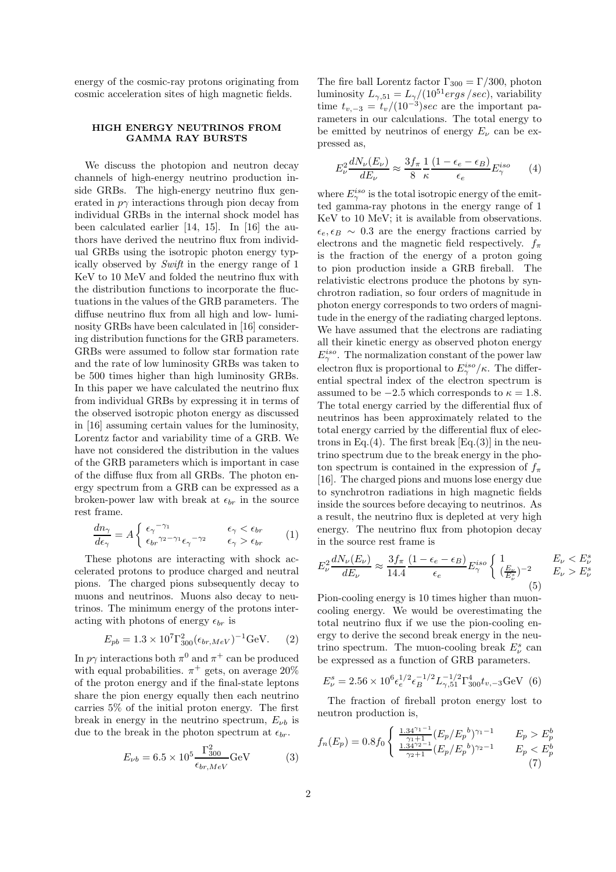energy of the cosmic-ray protons originating from cosmic acceleration sites of high magnetic fields.

## HIGH ENERGY NEUTRINOS FROM GAMMA RAY BURSTS

We discuss the photopion and neutron decay channels of high-energy neutrino production inside GRBs. The high-energy neutrino flux generated in  $p\gamma$  interactions through pion decay from individual GRBs in the internal shock model has been calculated earlier [14, 15]. In [16] the authors have derived the neutrino flux from individual GRBs using the isotropic photon energy typically observed by Swift in the energy range of 1 KeV to 10 MeV and folded the neutrino flux with the distribution functions to incorporate the fluctuations in the values of the GRB parameters. The diffuse neutrino flux from all high and low- luminosity GRBs have been calculated in [16] considering distribution functions for the GRB parameters. GRBs were assumed to follow star formation rate and the rate of low luminosity GRBs was taken to be 500 times higher than high luminosity GRBs. In this paper we have calculated the neutrino flux from individual GRBs by expressing it in terms of the observed isotropic photon energy as discussed in [16] assuming certain values for the luminosity, Lorentz factor and variability time of a GRB. We have not considered the distribution in the values of the GRB parameters which is important in case of the diffuse flux from all GRBs. The photon energy spectrum from a GRB can be expressed as a broken-power law with break at  $\epsilon_{br}$  in the source rest frame.

$$
\frac{dn_{\gamma}}{d\epsilon_{\gamma}} = A \begin{cases} \epsilon_{\gamma}^{-\gamma_1} & \epsilon_{\gamma} < \epsilon_{br} \\ \epsilon_{br}^{\gamma_2 - \gamma_1} \epsilon_{\gamma}^{-\gamma_2} & \epsilon_{\gamma} > \epsilon_{br} \end{cases} (1)
$$

These photons are interacting with shock accelerated protons to produce charged and neutral pions. The charged pions subsequently decay to muons and neutrinos. Muons also decay to neutrinos. The minimum energy of the protons interacting with photons of energy  $\epsilon_{br}$  is

$$
E_{pb} = 1.3 \times 10^7 \Gamma_{300}^2 (\epsilon_{br, MeV})^{-1} \text{GeV.}
$$
 (2)

In  $p\gamma$  interactions both  $\pi^0$  and  $\pi^+$  can be produced with equal probabilities.  $\pi^+$  gets, on average 20% of the proton energy and if the final-state leptons share the pion energy equally then each neutrino carries 5% of the initial proton energy. The first break in energy in the neutrino spectrum,  $E_{\nu b}$  is due to the break in the photon spectrum at  $\epsilon_{br}$ .

$$
E_{\nu b} = 6.5 \times 10^5 \frac{\Gamma_{300}^2}{\epsilon_{br, MeV}} \text{GeV}
$$
 (3)

The fire ball Lorentz factor  $\Gamma_{300} = \Gamma/300$ , photon luminosity  $L_{\gamma,51} = L_{\gamma}/(10^{51} ergs/sec)$ , variability time  $t_{v,-3} = t_v/(10^{-3}) sec$  are the important parameters in our calculations. The total energy to be emitted by neutrinos of energy  $E_{\nu}$  can be expressed as,

$$
E_{\nu}^2 \frac{dN_{\nu}(E_{\nu})}{dE_{\nu}} \approx \frac{3f_{\pi}}{8} \frac{1}{\kappa} \frac{(1 - \epsilon_e - \epsilon_B)}{\epsilon_e} E_{\gamma}^{iso}
$$
 (4)

where  $E^{iso}_{\gamma}$  is the total isotropic energy of the emitted gamma-ray photons in the energy range of 1 KeV to 10 MeV; it is available from observations.  $\epsilon_e, \epsilon_B \sim 0.3$  are the energy fractions carried by electrons and the magnetic field respectively.  $f_{\pi}$ is the fraction of the energy of a proton going to pion production inside a GRB fireball. The relativistic electrons produce the photons by synchrotron radiation, so four orders of magnitude in photon energy corresponds to two orders of magnitude in the energy of the radiating charged leptons. We have assumed that the electrons are radiating all their kinetic energy as observed photon energy  $E^{iso}_{\gamma}$ . The normalization constant of the power law electron flux is proportional to  $E^{iso}_{\gamma}/\kappa$ . The differential spectral index of the electron spectrum is assumed to be  $-2.5$  which corresponds to  $\kappa=1.8.$ The total energy carried by the differential flux of neutrinos has been approximately related to the total energy carried by the differential flux of electrons in Eq.(4). The first break  $[Eq.(3)]$  in the neutrino spectrum due to the break energy in the photon spectrum is contained in the expression of  $f_{\pi}$ [16]. The charged pions and muons lose energy due to synchrotron radiations in high magnetic fields inside the sources before decaying to neutrinos. As a result, the neutrino flux is depleted at very high energy. The neutrino flux from photopion decay in the source rest frame is

$$
E_{\nu}^{2} \frac{dN_{\nu}(E_{\nu})}{dE_{\nu}} \approx \frac{3f_{\pi}}{14.4} \frac{(1 - \epsilon_{e} - \epsilon_{B})}{\epsilon_{e}} E_{\gamma}^{iso} \begin{cases} 1 & E_{\nu} < E_{\nu}^{s} \\ (\frac{E_{\nu}}{E_{\nu}^{s}})^{-2} & E_{\nu} > E_{\nu}^{s} \end{cases}
$$
  
\n
$$
\Gamma_{\nu}^{i} \approx \frac{1}{2} (1 - \epsilon_{e} - \epsilon_{B}) \Gamma_{\gamma}^{iso} \tag{5}
$$

Pion-cooling energy is 10 times higher than muoncooling energy. We would be overestimating the total neutrino flux if we use the pion-cooling energy to derive the second break energy in the neutrino spectrum. The muon-cooling break  $E^s_\nu$  can be expressed as a function of GRB parameters.

$$
E_{\nu}^{s} = 2.56 \times 10^{6} \epsilon_{e}^{1/2} \epsilon_{B}^{-1/2} L_{\gamma,51}^{-1/2} \Gamma_{300}^{4} t_{v,-3} \text{GeV} \tag{6}
$$

The fraction of fireball proton energy lost to neutron production is,

$$
f_n(E_p) = 0.8f_0 \begin{cases} \frac{1.34^{\gamma_1 - 1}}{\gamma_1 + 1} (E_p/E_p{}^b)^{\gamma_1 - 1} & E_p > E_p^b\\ \frac{1.34^{\gamma_2 - 1}}{\gamma_2 + 1} (E_p/E_p{}^b)^{\gamma_2 - 1} & E_p < E_p^b\\ (7) & (7) \end{cases}
$$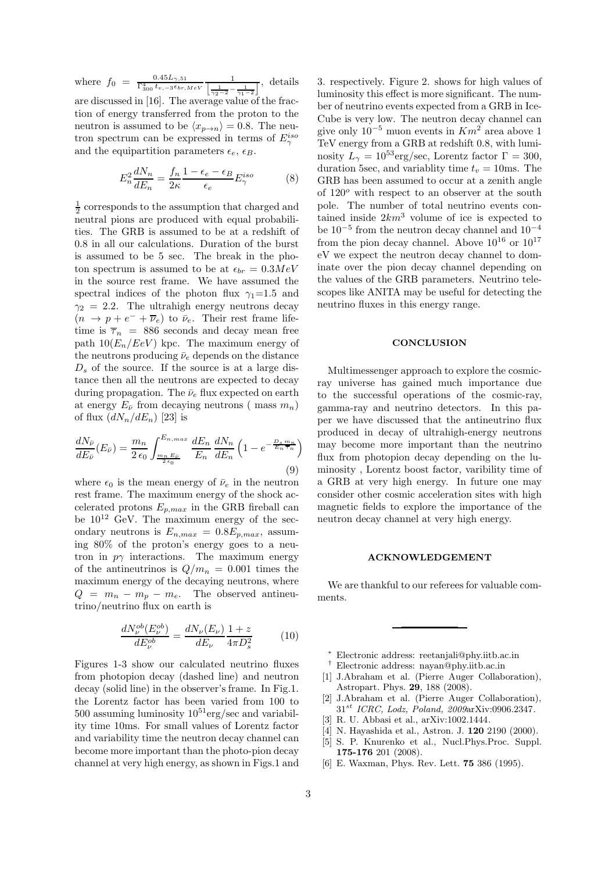where  $f_0 = \frac{0.45L_{\gamma,51}}{\Gamma_{300}^4 t_{v,-3} \epsilon_{br,MeV}}$ 1  $\left[\frac{1}{\gamma_2-2}-\frac{1}{\gamma_1-2}\right]$  , details are discussed in [16]. The average value of the fraction of energy transferred from the proton to the neutron is assumed to be  $\langle x_{p\to n} \rangle = 0.8$ . The neu-

tron spectrum can be expressed in terms of  $E^{iso}_{\gamma}$ 

and the equipartition parameters  $\epsilon_e$ ,  $\epsilon_B$ .

$$
E_n^2 \frac{dN_n}{dE_n} = \frac{f_n}{2\kappa} \frac{1 - \epsilon_e - \epsilon_B}{\epsilon_e} E_\gamma^{iso}
$$
 (8)

 $\frac{1}{2}$  corresponds to the assumption that charged and neutral pions are produced with equal probabilities. The GRB is assumed to be at a redshift of 0.8 in all our calculations. Duration of the burst is assumed to be 5 sec. The break in the photon spectrum is assumed to be at  $\epsilon_{br} = 0.3 MeV$ in the source rest frame. We have assumed the spectral indices of the photon flux  $\gamma_1=1.5$  and  $\gamma_2 = 2.2$ . The ultrahigh energy neutrons decay  $(n \to p + e^- + \overline{\nu}_e)$  to  $\bar{\nu}_e$ . Their rest frame lifetime is  $\overline{\tau}_n$  = 886 seconds and decay mean free path  $10(E_n/FeV)$  kpc. The maximum energy of the neutrons producing  $\bar{\nu}_e$  depends on the distance  $D_s$  of the source. If the source is at a large distance then all the neutrons are expected to decay during propagation. The  $\bar{\nu}_e$  flux expected on earth at energy  $E_{\bar{\nu}}$  from decaying neutrons (mass  $m_n$ ) of flux  $(dN_n/dE_n)$  [23] is

$$
\frac{dN_{\bar{\nu}}}{dE_{\bar{\nu}}}(E_{\bar{\nu}}) = \frac{m_n}{2\,\epsilon_0} \int_{\frac{m_n E_{\bar{\nu}}}{2\,\epsilon_0}}^{E_{n,max}} \frac{dE_n}{E_n} \frac{dN_n}{dE_n} \left(1 - e^{-\frac{D_s m_n}{E_n \tau_n}}\right)
$$
\n(9)

where  $\epsilon_0$  is the mean energy of  $\bar{\nu}_e$  in the neutron rest frame. The maximum energy of the shock accelerated protons  $E_{p,max}$  in the GRB fireball can be  $10^{12}$  GeV. The maximum energy of the secondary neutrons is  $E_{n,max} = 0.8E_{p,max}$ , assuming 80% of the proton's energy goes to a neutron in  $p\gamma$  interactions. The maximum energy of the antineutrinos is  $Q/m_n = 0.001$  times the maximum energy of the decaying neutrons, where  $Q = m_n - m_p - m_e$ . The observed antineutrino/neutrino flux on earth is

$$
\frac{dN_{\nu}^{ob}(E_{\nu}^{ob})}{dE_{\nu}^{ob}} = \frac{dN_{\nu}(E_{\nu})}{dE_{\nu}} \frac{1+z}{4\pi D_s^2}
$$
(10)

Figures 1-3 show our calculated neutrino fluxes from photopion decay (dashed line) and neutron decay (solid line) in the observer's frame. In Fig.1. the Lorentz factor has been varied from 100 to 500 assuming luminosity  $10^{51}$ erg/sec and variability time 10ms. For small values of Lorentz factor and variability time the neutron decay channel can become more important than the photo-pion decay channel at very high energy, as shown in Figs.1 and

3. respectively. Figure 2. shows for high values of luminosity this effect is more significant. The number of neutrino events expected from a GRB in Ice-Cube is very low. The neutron decay channel can give only  $10^{-5}$  muon events in  $Km^2$  area above 1 TeV energy from a GRB at redshift 0.8, with luminosity  $L_{\gamma} = 10^{53} \text{erg/sec}$ , Lorentz factor  $\Gamma = 300$ , duration 5sec, and variablity time  $t_v = 10$ ms. The GRB has been assumed to occur at a zenith angle of  $120^{\circ}$  with respect to an observer at the south pole. The number of total neutrino events contained inside  $2km^3$  volume of ice is expected to be  $10^{-5}$  from the neutron decay channel and  $10^{-4}$ from the pion decay channel. Above  $10^{16}$  or  $10^{17}$ eV we expect the neutron decay channel to dominate over the pion decay channel depending on the values of the GRB parameters. Neutrino telescopes like ANITA may be useful for detecting the neutrino fluxes in this energy range.

## **CONCLUSION**

Multimessenger approach to explore the cosmicray universe has gained much importance due to the successful operations of the cosmic-ray, gamma-ray and neutrino detectors. In this paper we have discussed that the antineutrino flux produced in decay of ultrahigh-energy neutrons may become more important than the neutrino flux from photopion decay depending on the luminosity , Lorentz boost factor, varibility time of a GRB at very high energy. In future one may consider other cosmic acceleration sites with high magnetic fields to explore the importance of the neutron decay channel at very high energy.

## ACKNOWLEDGEMENT

We are thankful to our referees for valuable comments.

- † Electronic address: nayan@phy.iitb.ac.in
- [1] J.Abraham et al. (Pierre Auger Collaboration), Astropart. Phys. 29, 188 (2008).
- [2] J.Abraham et al. (Pierre Auger Collaboration),  $31^{st}$  ICRC, Lodz, Poland, 2009arXiv:0906.2347.
- [3] R. U. Abbasi et al., arXiv:1002.1444.
- [4] N. Hayashida et al., Astron. J. 120 2190 (2000).
- [5] S. P. Knurenko et al., Nucl.Phys.Proc. Suppl. 175-176 201 (2008).
- [6] E. Waxman, Phys. Rev. Lett. 75 386 (1995).

 $\frac{*}{k}$  Electronic address: reetanjali@phy.iitb.ac.in<br> $\frac{1}{k}$  Electronic address: navan@phy.iitb.ac.in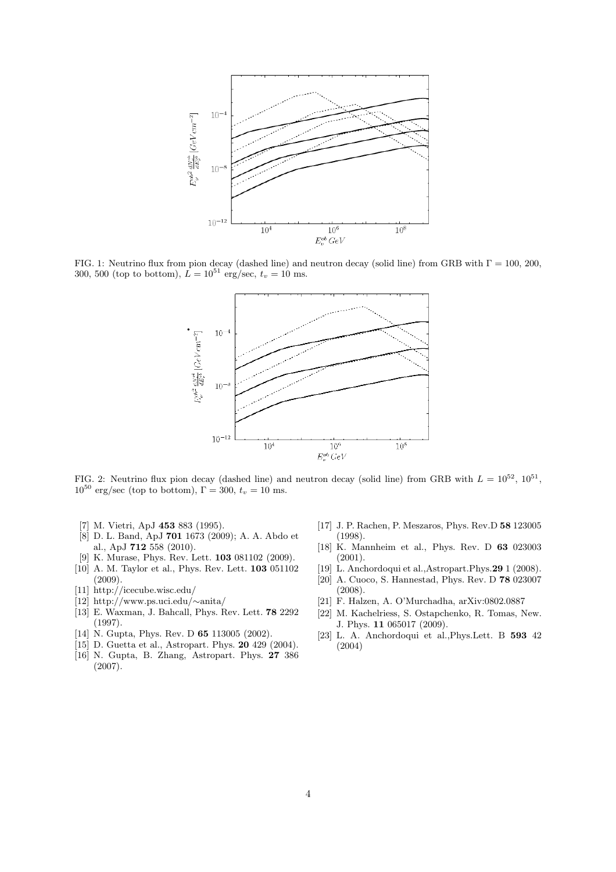

FIG. 1: Neutrino flux from pion decay (dashed line) and neutron decay (solid line) from GRB with  $\Gamma = 100$ , 200, 300, 500 (top to bottom),  $\hat{L} = 10^{51}$  erg/sec,  $t_v = 10$  ms.



FIG. 2: Neutrino flux pion decay (dashed line) and neutron decay (solid line) from GRB with  $L = 10^{52}$ ,  $10^{51}$ ,  $10^{50}$  erg/sec (top to bottom),  $\Gamma = 300$ ,  $t_v = 10$  ms.

- [7] M. Vietri, ApJ 453 883 (1995).
- [8] D. L. Band, ApJ 701 1673 (2009); A. A. Abdo et al., ApJ 712 558 (2010).
- [9] K. Murase, Phys. Rev. Lett. 103 081102 (2009).
- [10] A. M. Taylor et al., Phys. Rev. Lett. 103 051102 (2009).
- [11] http://icecube.wisc.edu/
- [12] http://www.ps.uci.edu/∼anita/
- [13] E. Waxman, J. Bahcall, Phys. Rev. Lett. 78 2292 (1997).
- [14] N. Gupta, Phys. Rev. D **65** 113005 (2002).
- [15] D. Guetta et al., Astropart. Phys. **20** 429 (2004).
- [16] N. Gupta, B. Zhang, Astropart. Phys. 27 386 (2007).
- [17] J. P. Rachen, P. Meszaros, Phys. Rev.D 58 123005 (1998).
- [18] K. Mannheim et al., Phys. Rev. D 63 023003 (2001).
- [19] L. Anchordoqui et al.,Astropart.Phys.29 1 (2008).
- [20] A. Cuoco, S. Hannestad, Phys. Rev. D 78 023007
- (2008). [21] F. Halzen, A. O'Murchadha, arXiv:0802.0887
- [22] M. Kachelriess, S. Ostapchenko, R. Tomas, New.
- J. Phys. 11 065017 (2009).
- [23] L. A. Anchordoqui et al.,Phys.Lett. B 593 42 (2004)